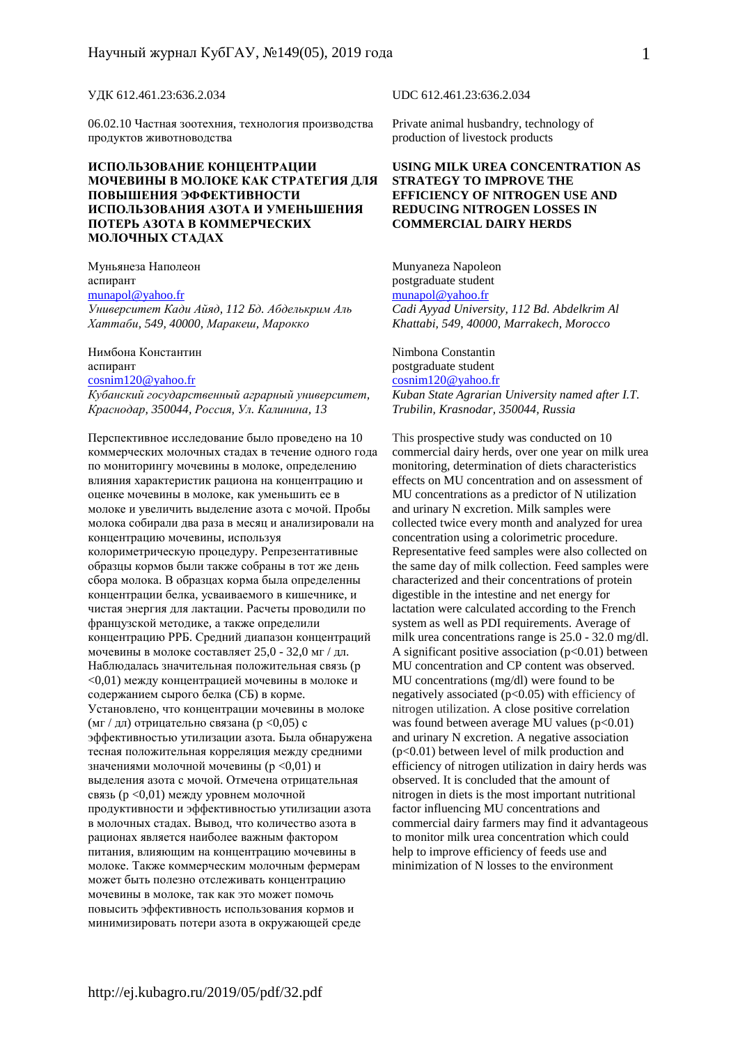#### УДК 612.461.23:636.2.034

06.02.10 Частная зоотехния, технология производства продуктов животноводства

#### **ИСПОЛЬЗОВАНИЕ КОНЦЕНТРАЦИИ МОЧЕВИНЫ В МОЛОКЕ КАК СТРАТЕГИЯ ДЛЯ ПОВЫШЕНИЯ ЭФФЕКТИВНОСТИ ИСПОЛЬЗОВАНИЯ АЗОТА И УМЕНЬШЕНИЯ ПОТЕРЬ АЗОТА В КОММЕРЧЕСКИХ МОЛОЧНЫХ СТАДАХ**

Муньянеза Наполеон аспирант munapol@yahoo.fr *Университет Кади Айяд, 112 Бд. Абделькрим Аль Хаттаби, 549, 40000, Маракеш, Марокко*

Нимбона Константин аспирант cosnim120@yahoo.fr *Кубанский государственный аграрный университет, Краснодар, 350044, Россия, Ул. Калинина, 13* 

Перспективное исследование было проведено на 10 коммерческих молочных стадах в течение одного года по мониторингу мочевины в молоке, определению влияния характеристик рациона на концентрацию и оценке мочевины в молоке, как уменьшить ее в молоке и увеличить выделение азота с мочой. Пробы молока собирали два раза в месяц и анализировали на концентрацию мочевины, используя колориметрическую процедуру. Репрезентативные образцы кормов были также собраны в тот же день сбора молока. В образцах корма была определенны концентрации белка, усваиваемого в кишечнике, и чистая энергия для лактации. Расчеты проводили по французской методике, а также определили концентрацию РРБ. Средний диапазон концентраций мочевины в молоке составляет 25,0 - 32,0 мг / дл. Наблюдалась значительная положительная связь (р <0,01) между концентрацией мочевины в молоке и содержанием сырого белка (СБ) в корме. Установлено, что концентрации мочевины в молоке (мг / дл) отрицательно связана (р <0,05) с эффективностью утилизации азота. Была обнаружена тесная положительная корреляция между средними значениями молочной мочевины (р <0,01) и выделения азота с мочой. Отмечена отрицательная связь (p <0,01) между уровнем молочной продуктивности и эффективностью утилизации азота в молочных стадах. Вывод, что количество азота в рационах является наиболее важным фактором питания, влияющим на концентрацию мочевины в молоке. Также коммерческим молочным фермерам может быть полезно отслеживать концентрацию мочевины в молоке, так как это может помочь повысить эффективность использования кормов и минимизировать потери азота в окружающей среде

UDC 612.461.23:636.2.034

Private animal husbandry, technology of production of livestock products

#### **USING MILK UREA CONCENTRATION AS STRATEGY TO IMPROVE THE EFFICIENCY OF NITROGEN USE AND REDUCING NITROGEN LOSSES IN COMMERCIAL DAIRY HERDS**

Munyaneza Napoleon postgraduate student munapol@yahoo.fr *Cadi Ayyad University, 112 Bd. Abdelkrim Al Khattabi, 549, 40000, Marrakech, Morocco* 

Nimbona Constantin postgraduate student

cosnim120@yahoo.fr *Kuban State Agrarian University named after I.T. Trubilin, Krasnodar, 350044, Russia* 

This prospective study was conducted on 10 commercial dairy herds, over one year on milk urea monitoring, determination of diets characteristics effects on MU concentration and on assessment of MU concentrations as a predictor of N utilization and urinary N excretion. Milk samples were collected twice every month and analyzed for urea concentration using a colorimetric procedure. Representative feed samples were also collected on the same day of milk collection. Feed samples were characterized and their concentrations of protein digestible in the intestine and net energy for lactation were calculated according to the French system as well as PDI requirements. Average of milk urea concentrations range is 25.0 - 32.0 mg/dl. A significant positive association  $(p<0.01)$  between MU concentration and CP content was observed. MU concentrations (mg/dl) were found to be negatively associated  $(p<0.05)$  with efficiency of nitrogen utilization. A close positive correlation was found between average MU values  $(p<0.01)$ and urinary N excretion. A negative association (p<0.01) between level of milk production and efficiency of nitrogen utilization in dairy herds was observed. It is concluded that the amount of nitrogen in diets is the most important nutritional factor influencing MU concentrations and commercial dairy farmers may find it advantageous to monitor milk urea concentration which could help to improve efficiency of feeds use and minimization of N losses to the environment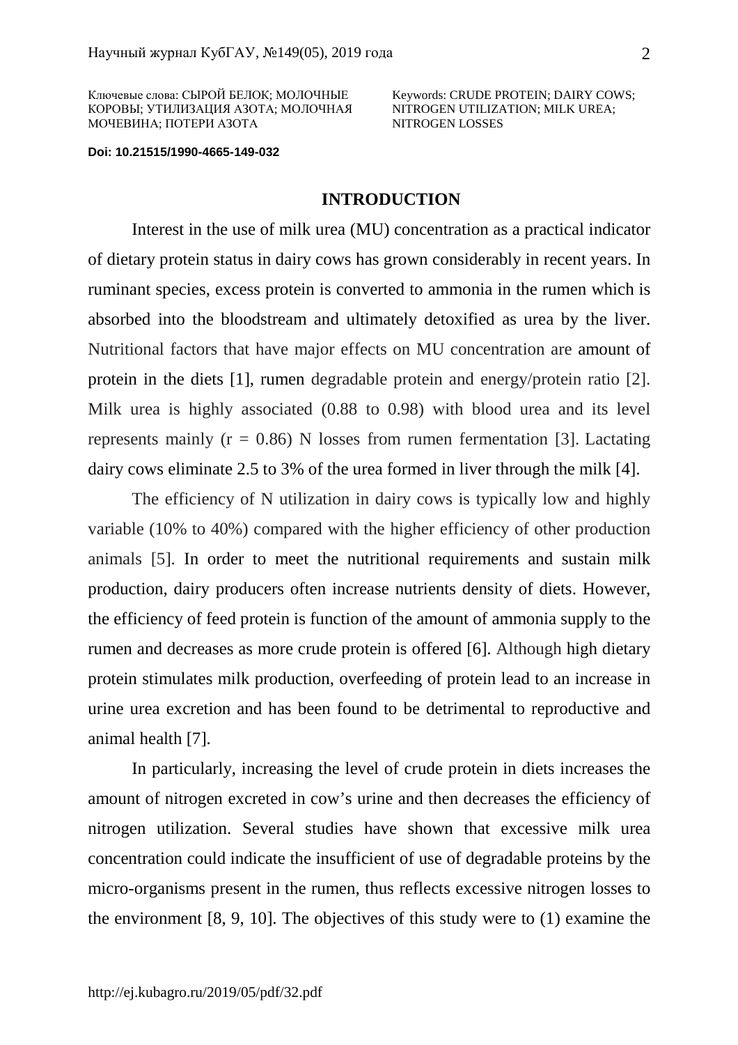Ключевые слова: СЫРОЙ БЕЛОК; МОЛОЧНЫЕ КОРОВЫ; УТИЛИЗАЦИЯ АЗОТА; МОЛОЧНАЯ МОЧЕВИНА; ПОТЕРИ АЗОТА

Keywords: CRUDE PROTEIN; DAIRY COWS; NITROGEN UTILIZATION; MILK UREA; NITROGEN LOSSES

**Doi: 10.21515/1990-4665-149-032**

## **INTRODUCTION**

Interest in the use of milk urea (MU) concentration as a practical indicator of dietary protein status in dairy cows has grown considerably in recent years. In ruminant species, excess protein is converted to ammonia in the rumen which is absorbed into the bloodstream and ultimately detoxified as urea by the liver. Nutritional factors that have major effects on MU concentration are amount of protein in the diets [1], rumen degradable protein and energy/protein ratio [2]. Milk urea is highly associated (0.88 to 0.98) with blood urea and its level represents mainly ( $r = 0.86$ ) N losses from rumen fermentation [3]. Lactating dairy cows eliminate 2.5 to 3% of the urea formed in liver through the milk [4].

The efficiency of N utilization in dairy cows is typically low and highly variable (10% to 40%) compared with the higher efficiency of other production animals [5]. In order to meet the nutritional requirements and sustain milk production, dairy producers often increase nutrients density of diets. However, the efficiency of feed protein is function of the amount of ammonia supply to the rumen and decreases as more crude protein is offered [6]. Although high dietary protein stimulates milk production, overfeeding of protein lead to an increase in urine urea excretion and has been found to be detrimental to reproductive and animal health [7].

In particularly, increasing the level of crude protein in diets increases the amount of nitrogen excreted in cow's urine and then decreases the efficiency of nitrogen utilization. Several studies have shown that excessive milk urea concentration could indicate the insufficient of use of degradable proteins by the micro-organisms present in the rumen, thus reflects excessive nitrogen losses to the environment [8, 9, 10]. The objectives of this study were to (1) examine the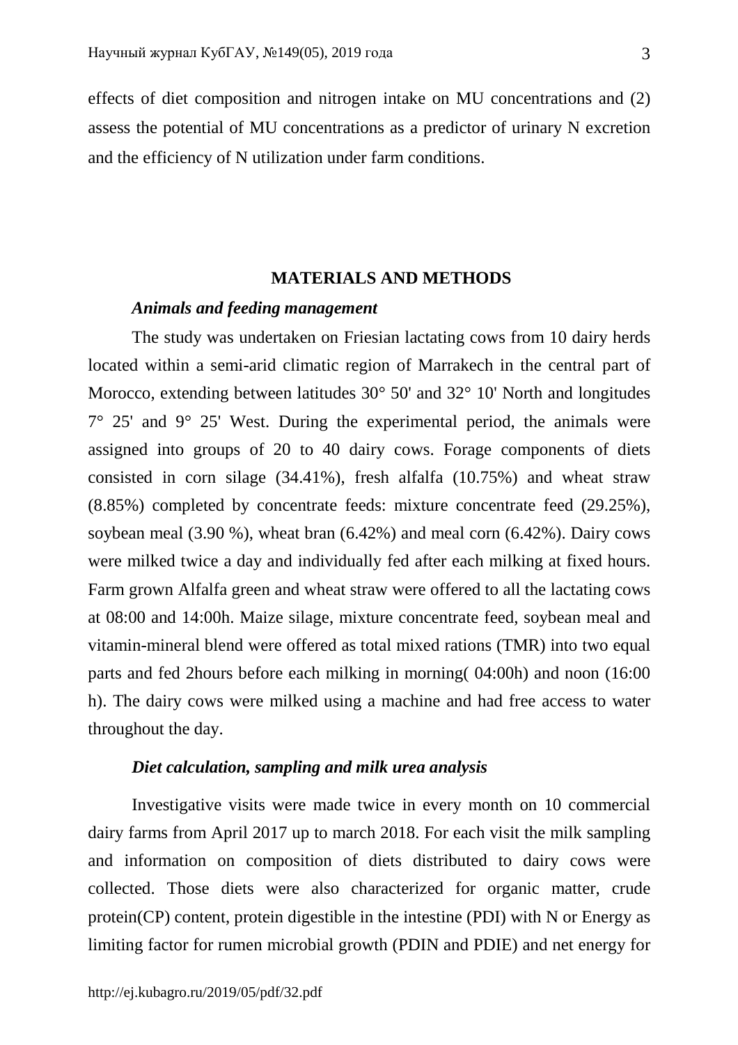effects of diet composition and nitrogen intake on MU concentrations and (2) assess the potential of MU concentrations as a predictor of urinary N excretion and the efficiency of N utilization under farm conditions.

## **MATERIALS AND METHODS**

## *Animals and feeding management*

The study was undertaken on Friesian lactating cows from 10 dairy herds located within a semi-arid climatic region of Marrakech in the central part of Morocco, extending between latitudes 30° 50' and 32° 10' North and longitudes  $7^{\circ}$  25' and  $9^{\circ}$  25' West. During the experimental period, the animals were assigned into groups of 20 to 40 dairy cows. Forage components of diets consisted in corn silage (34.41%), fresh alfalfa (10.75%) and wheat straw (8.85%) completed by concentrate feeds: mixture concentrate feed (29.25%), soybean meal (3.90 %), wheat bran (6.42%) and meal corn (6.42%). Dairy cows were milked twice a day and individually fed after each milking at fixed hours. Farm grown Alfalfa green and wheat straw were offered to all the lactating cows at 08:00 and 14:00h. Maize silage, mixture concentrate feed, soybean meal and vitamin-mineral blend were offered as total mixed rations (TMR) into two equal parts and fed 2hours before each milking in morning( 04:00h) and noon (16:00 h). The dairy cows were milked using a machine and had free access to water throughout the day.

## *Diet calculation, sampling and milk urea analysis*

Investigative visits were made twice in every month on 10 commercial dairy farms from April 2017 up to march 2018. For each visit the milk sampling and information on composition of diets distributed to dairy cows were collected. Those diets were also characterized for organic matter, crude protein(CP) content, protein digestible in the intestine (PDI) with N or Energy as limiting factor for rumen microbial growth (PDIN and PDIE) and net energy for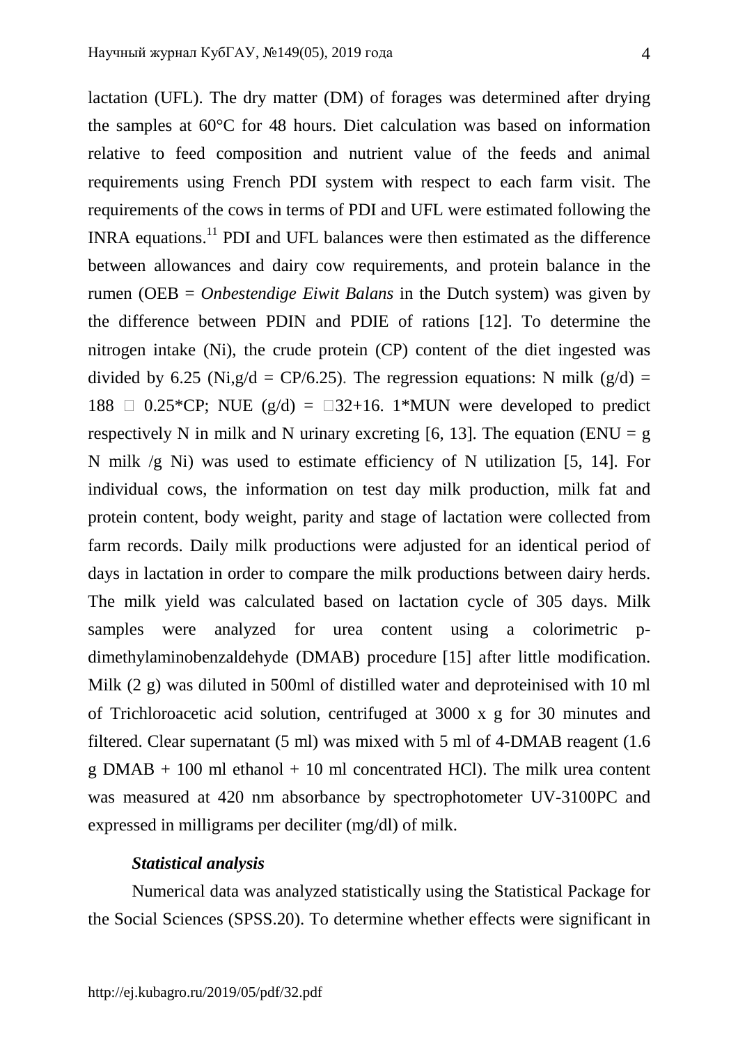lactation (UFL). The dry matter (DM) of forages was determined after drying the samples at 60°C for 48 hours. Diet calculation was based on information relative to feed composition and nutrient value of the feeds and animal requirements using French PDI system with respect to each farm visit. The requirements of the cows in terms of PDI and UFL were estimated following the INRA equations.<sup>11</sup> PDI and UFL balances were then estimated as the difference between allowances and dairy cow requirements, and protein balance in the rumen (OEB = *Onbestendige Eiwit Balans* in the Dutch system) was given by the difference between PDIN and PDIE of rations [12]. To determine the nitrogen intake (Ni), the crude protein (CP) content of the diet ingested was divided by 6.25 (Ni,g/d = CP/6.25). The regression equations: N milk (g/d) = 188  $\Box$  0.25\*CP; NUE (g/d) =  $\Box$ 32+16. 1\*MUN were developed to predict respectively N in milk and N urinary excreting [6, 13]. The equation (ENU = g N milk /g Ni) was used to estimate efficiency of N utilization [5, 14]. For individual cows, the information on test day milk production, milk fat and protein content, body weight, parity and stage of lactation were collected from farm records. Daily milk productions were adjusted for an identical period of days in lactation in order to compare the milk productions between dairy herds. The milk yield was calculated based on lactation cycle of 305 days. Milk samples were analyzed for urea content using a colorimetric pdimethylaminobenzaldehyde (DMAB) procedure [15] after little modification. Milk (2 g) was diluted in 500ml of distilled water and deproteinised with 10 ml of Trichloroacetic acid solution, centrifuged at 3000 x g for 30 minutes and filtered. Clear supernatant (5 ml) was mixed with 5 ml of 4-DMAB reagent (1.6 g DMAB  $+$  100 ml ethanol  $+$  10 ml concentrated HCl). The milk urea content was measured at 420 nm absorbance by spectrophotometer UV-3100PC and expressed in milligrams per deciliter (mg/dl) of milk.

## *Statistical analysis*

Numerical data was analyzed statistically using the Statistical Package for the Social Sciences (SPSS.20). To determine whether effects were significant in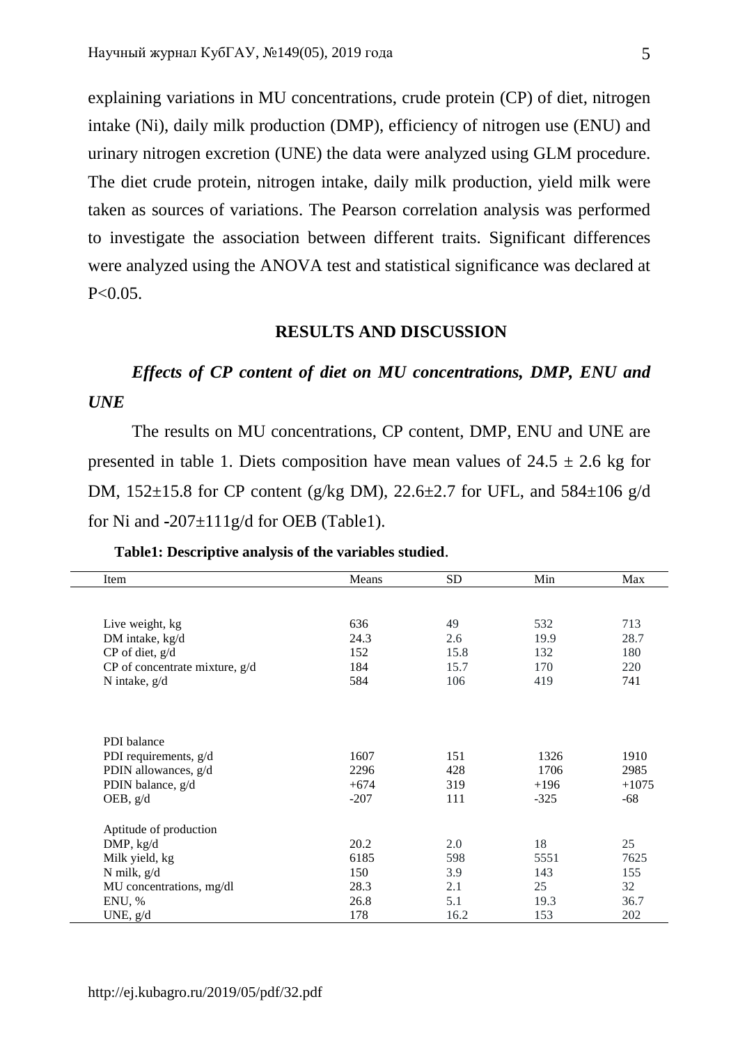explaining variations in MU concentrations, crude protein (CP) of diet, nitrogen intake (Ni), daily milk production (DMP), efficiency of nitrogen use (ENU) and urinary nitrogen excretion (UNE) the data were analyzed using GLM procedure. The diet crude protein, nitrogen intake, daily milk production, yield milk were taken as sources of variations. The Pearson correlation analysis was performed to investigate the association between different traits. Significant differences were analyzed using the ANOVA test and statistical significance was declared at  $P < 0.05$ .

### **RESULTS AND DISCUSSION**

# *Effects of CP content of diet on MU concentrations, DMP, ENU and UNE*

The results on MU concentrations, CP content, DMP, ENU and UNE are presented in table 1. Diets composition have mean values of  $24.5 \pm 2.6$  kg for DM, 152±15.8 for CP content (g/kg DM), 22.6±2.7 for UFL, and 584±106 g/d for Ni and **-**207±111g/d for OEB (Table1).

| Means  | <b>SD</b>   | Min        | Max               |
|--------|-------------|------------|-------------------|
|        |             |            |                   |
|        |             |            |                   |
|        |             |            | 713               |
|        | 2.6         |            | 28.7              |
| 152    |             | 132        | 180               |
| 184    | 15.7        | 170        | 220               |
| 584    | 106         | 419        | 741               |
|        |             |            |                   |
|        |             |            |                   |
|        |             |            |                   |
| 1607   | 151         | 1326       | 1910              |
| 2296   | 428         | 1706       | 2985              |
| $+674$ | 319         | $+196$     | $+1075$           |
| $-207$ | 111         | $-325$     | $-68$             |
|        |             |            |                   |
|        |             |            |                   |
| 20.2   | 2.0         |            | 25                |
| 6185   | 598         | 5551       | 7625              |
| 150    | 3.9         | 143        | 155               |
| 28.3   | 2.1         | 25         | 32                |
| 26.8   | 5.1         | 19.3       | 36.7              |
| 178    | 16.2        | 153        | 202               |
|        | 636<br>24.3 | 49<br>15.8 | 532<br>19.9<br>18 |

### **Table1: Descriptive analysis of the variables studied**.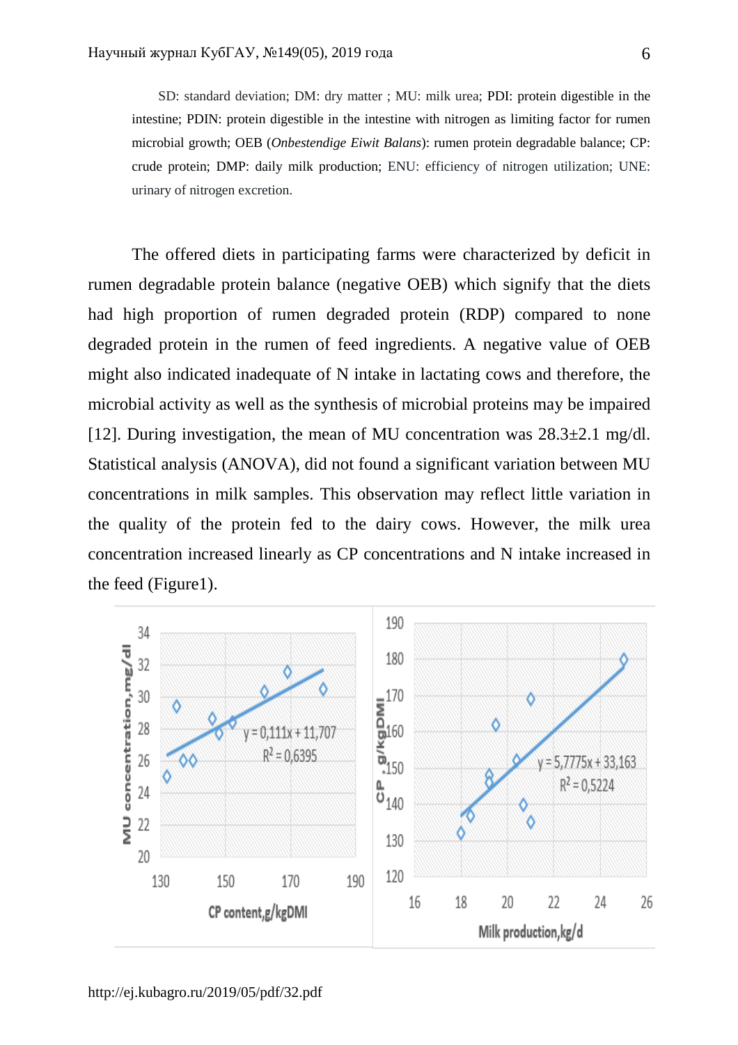SD: standard deviation; DM: dry matter ; MU: milk urea; PDI: protein digestible in the intestine; PDIN: protein digestible in the intestine with nitrogen as limiting factor for rumen microbial growth; OEB (*Onbestendige Eiwit Balans*): rumen protein degradable balance; CP: crude protein; DMP: daily milk production; ENU: efficiency of nitrogen utilization; UNE: urinary of nitrogen excretion.

The offered diets in participating farms were characterized by deficit in rumen degradable protein balance (negative OEB) which signify that the diets had high proportion of rumen degraded protein (RDP) compared to none degraded protein in the rumen of feed ingredients. A negative value of OEB might also indicated inadequate of N intake in lactating cows and therefore, the microbial activity as well as the synthesis of microbial proteins may be impaired [12]. During investigation, the mean of MU concentration was  $28.3\pm2.1$  mg/dl. Statistical analysis (ANOVA), did not found a significant variation between MU concentrations in milk samples. This observation may reflect little variation in the quality of the protein fed to the dairy cows. However, the milk urea concentration increased linearly as CP concentrations and N intake increased in the feed (Figure1).

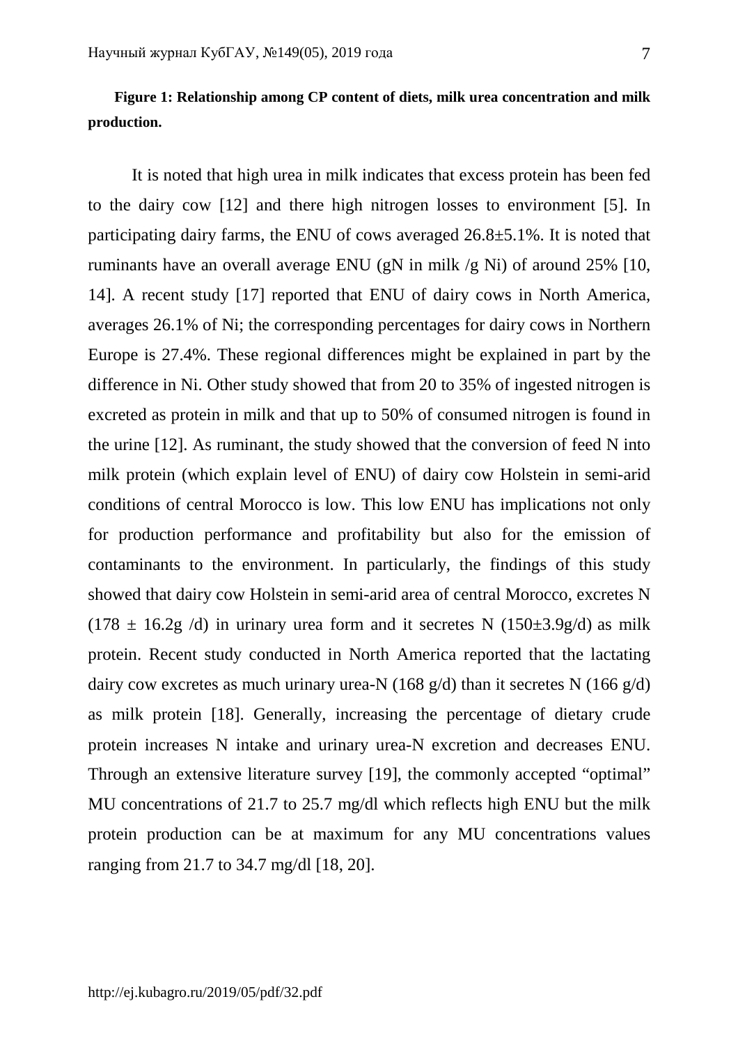# **Figure 1: Relationship among CP content of diets, milk urea concentration and milk production.**

It is noted that high urea in milk indicates that excess protein has been fed to the dairy cow [12] and there high nitrogen losses to environment [5]. In participating dairy farms, the ENU of cows averaged 26.8±5.1%. It is noted that ruminants have an overall average ENU (gN in milk /g Ni) of around 25% [10, 14]. A recent study [17] reported that ENU of dairy cows in North America, averages 26.1% of Ni; the corresponding percentages for dairy cows in Northern Europe is 27.4%. These regional differences might be explained in part by the difference in Ni. Other study showed that from 20 to 35% of ingested nitrogen is excreted as protein in milk and that up to 50% of consumed nitrogen is found in the urine [12]. As ruminant, the study showed that the conversion of feed N into milk protein (which explain level of ENU) of dairy cow Holstein in semi-arid conditions of central Morocco is low. This low ENU has implications not only for production performance and profitability but also for the emission of contaminants to the environment. In particularly, the findings of this study showed that dairy cow Holstein in semi-arid area of central Morocco, excretes N  $(178 \pm 16.2$ g /d) in urinary urea form and it secretes N  $(150\pm 3.9$ g/d) as milk protein. Recent study conducted in North America reported that the lactating dairy cow excretes as much urinary urea-N (168  $g/d$ ) than it secretes N (166  $g/d$ ) as milk protein [18]. Generally, increasing the percentage of dietary crude protein increases N intake and urinary urea-N excretion and decreases ENU. Through an extensive literature survey [19], the commonly accepted "optimal" MU concentrations of 21.7 to 25.7 mg/dl which reflects high ENU but the milk protein production can be at maximum for any MU concentrations values ranging from 21.7 to 34.7 mg/dl [18, 20].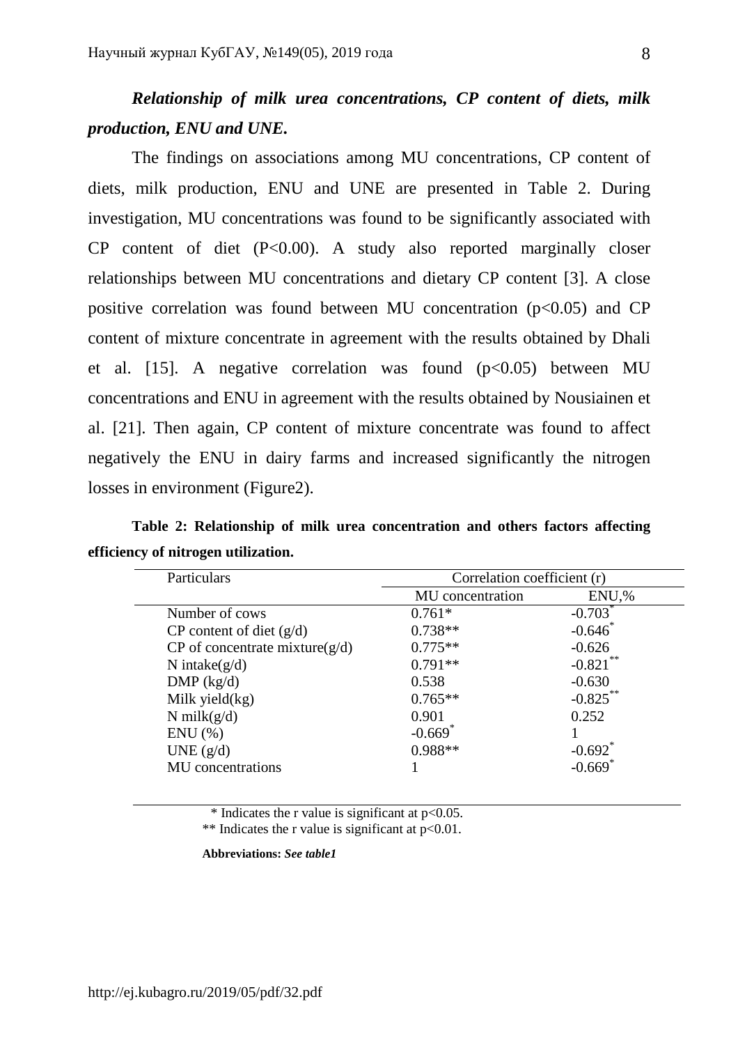# *Relationship of milk urea concentrations, CP content of diets, milk production, ENU and UNE.*

The findings on associations among MU concentrations, CP content of diets, milk production, ENU and UNE are presented in Table 2. During investigation, MU concentrations was found to be significantly associated with CP content of diet (P<0.00). A study also reported marginally closer relationships between MU concentrations and dietary CP content [3]. A close positive correlation was found between MU concentration  $(p<0.05)$  and CP content of mixture concentrate in agreement with the results obtained by Dhali et al. [15]. A negative correlation was found  $(p<0.05)$  between MU concentrations and ENU in agreement with the results obtained by Nousiainen et al. [21]. Then again, CP content of mixture concentrate was found to affect negatively the ENU in dairy farms and increased significantly the nitrogen losses in environment (Figure2).

**Table 2: Relationship of milk urea concentration and others factors affecting efficiency of nitrogen utilization.** 

| Particulars                        | Correlation coefficient (r) |                       |
|------------------------------------|-----------------------------|-----------------------|
|                                    | MU concentration            | ENU,%                 |
| Number of cows                     | $0.761*$                    | $-0.703$ <sup>*</sup> |
| $CP$ content of diet $(g/d)$       | $0.738**$                   | $-0.646$              |
| CP of concentrate mixture( $g/d$ ) | $0.775**$                   | $-0.626$              |
| N intake $(g/d)$                   | $0.791**$                   | $-0.821$              |
| DMP (kg/d)                         | 0.538                       | $-0.630$              |
| Milk yield $(kg)$                  | $0.765**$                   | $-0.825***$           |
| N milk $(g/d)$                     | 0.901                       | 0.252                 |
| $ENU$ $(\% )$                      | $-0.669$ <sup>*</sup>       |                       |
| UNE $(g/d)$                        | $0.988**$                   | $-0.692$ <sup>*</sup> |
| MU concentrations                  |                             | $-0.669$ <sup>*</sup> |

\* Indicates the r value is significant at  $p<0.05$ .

\*\* Indicates the r value is significant at  $p<0.01$ .

**Abbreviations:** *See table1*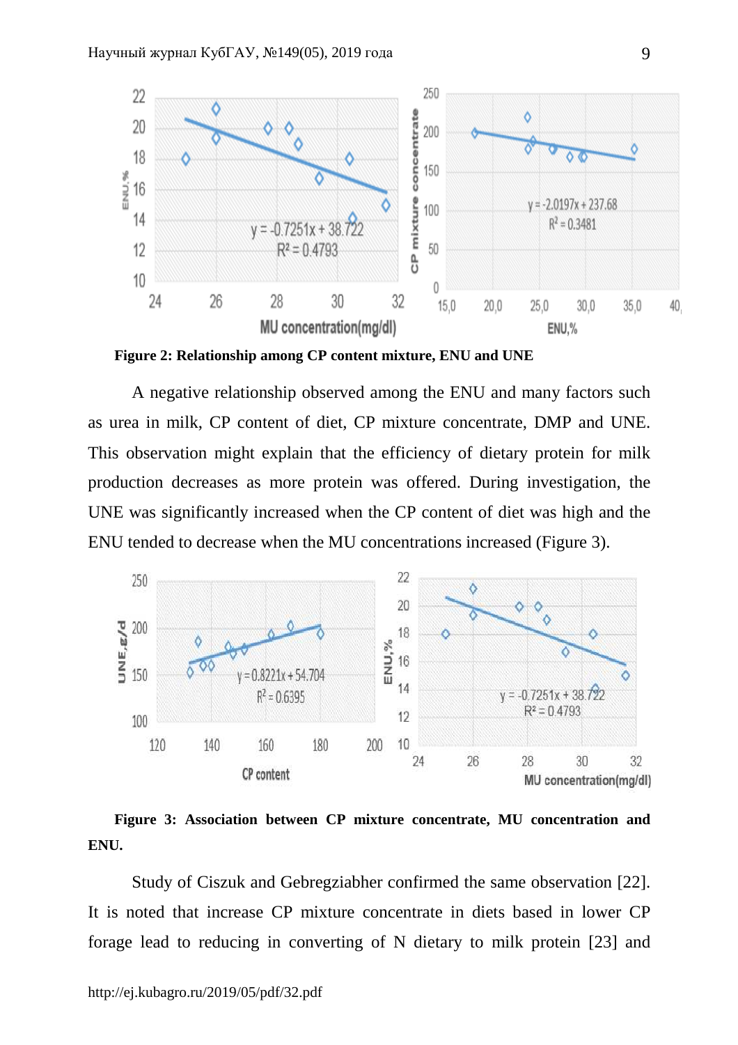

**Figure 2: Relationship among CP content mixture, ENU and UNE** 

A negative relationship observed among the ENU and many factors such as urea in milk, CP content of diet, CP mixture concentrate, DMP and UNE. This observation might explain that the efficiency of dietary protein for milk production decreases as more protein was offered. During investigation, the UNE was significantly increased when the CP content of diet was high and the ENU tended to decrease when the MU concentrations increased (Figure 3).



**Figure 3: Association between CP mixture concentrate, MU concentration and ENU.** 

Study of Ciszuk and Gebregziabher confirmed the same observation [22]. It is noted that increase CP mixture concentrate in diets based in lower CP forage lead to reducing in converting of N dietary to milk protein [23] and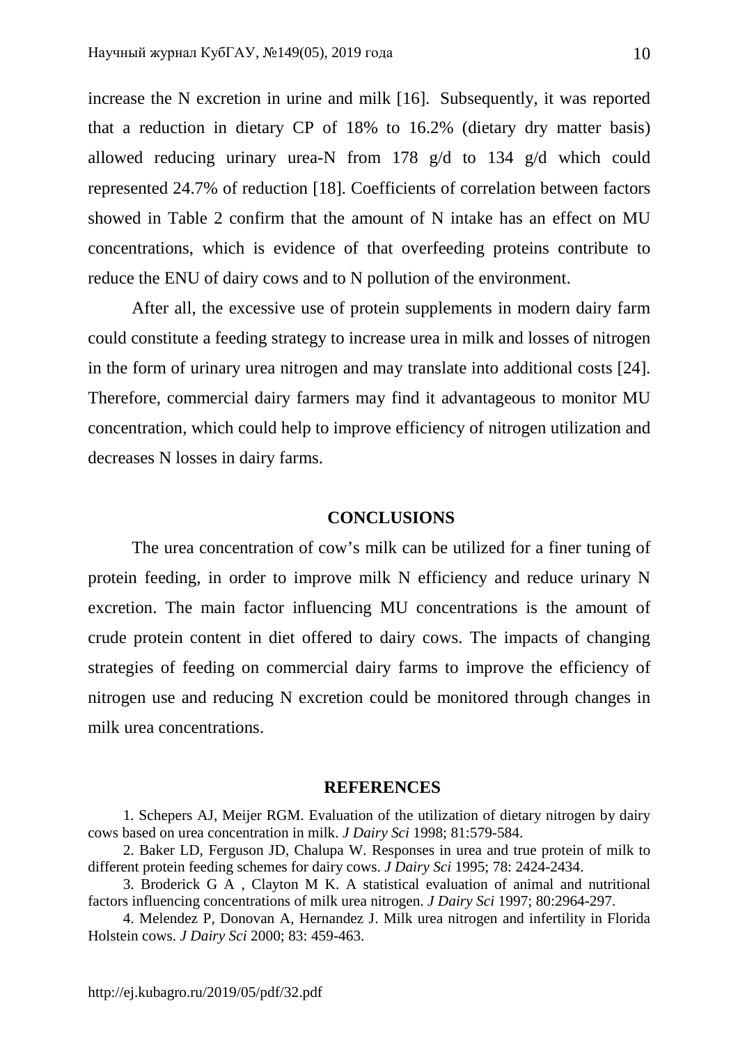increase the N excretion in urine and milk [16]. Subsequently, it was reported that a reduction in dietary CP of 18% to 16.2% (dietary dry matter basis) allowed reducing urinary urea-N from 178 g/d to 134 g/d which could represented 24.7% of reduction [18]. Coefficients of correlation between factors showed in Table 2 confirm that the amount of N intake has an effect on MU concentrations, which is evidence of that overfeeding proteins contribute to reduce the ENU of dairy cows and to N pollution of the environment.

After all, the excessive use of protein supplements in modern dairy farm could constitute a feeding strategy to increase urea in milk and losses of nitrogen in the form of urinary urea nitrogen and may translate into additional costs [24]. Therefore, commercial dairy farmers may find it advantageous to monitor MU concentration, which could help to improve efficiency of nitrogen utilization and decreases N losses in dairy farms.

### **CONCLUSIONS**

The urea concentration of cow's milk can be utilized for a finer tuning of protein feeding, in order to improve milk N efficiency and reduce urinary N excretion. The main factor influencing MU concentrations is the amount of crude protein content in diet offered to dairy cows. The impacts of changing strategies of feeding on commercial dairy farms to improve the efficiency of nitrogen use and reducing N excretion could be monitored through changes in milk urea concentrations.

### **REFERENCES**

1. Schepers AJ, Meijer RGM. Evaluation of the utilization of dietary nitrogen by dairy cows based on urea concentration in milk. *J Dairy Sci* 1998; 81:579-584.

2. Baker LD, Ferguson JD, Chalupa W. Responses in urea and true protein of milk to different protein feeding schemes for dairy cows. *J Dairy Sci* 1995; 78: 2424-2434.

3. Broderick G A , Clayton M K. A statistical evaluation of animal and nutritional factors influencing concentrations of milk urea nitrogen. *J Dairy Sci* 1997; 80:2964-297.

4. Melendez P, Donovan A, Hernandez J. Milk urea nitrogen and infertility in Florida Holstein cows. *J Dairy Sci* 2000; 83: 459-463.